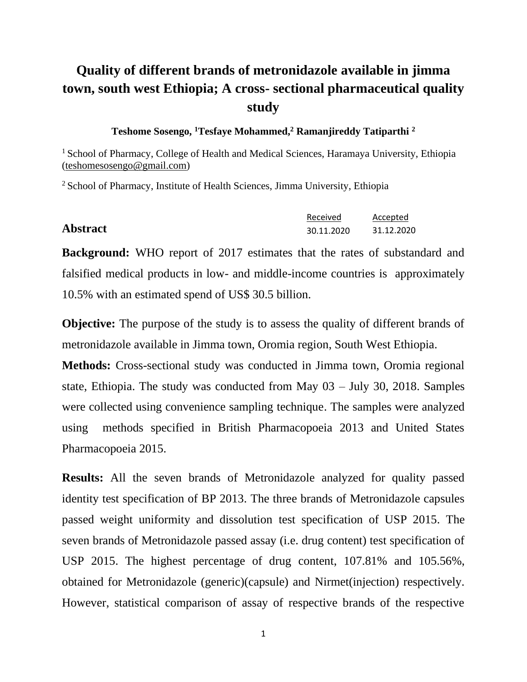# **Quality of different brands of metronidazole available in jimma town, south west Ethiopia; A cross- sectional pharmaceutical quality study**

#### **Teshome Sosengo, <sup>1</sup>Tesfaye Mohammed,<sup>2</sup> Ramanjireddy Tatiparthi <sup>2</sup>**

<sup>1</sup> School of Pharmacy, College of Health and Medical Sciences, Haramaya University, Ethiopia [\(teshomesosengo@gmail.com\)](mailto:teshomesosengo@gmail.com)

<sup>2</sup> School of Pharmacy, Institute of Health Sciences, Jimma University, Ethiopia

|                 | Received   | Accepted   |
|-----------------|------------|------------|
| <b>Abstract</b> | 30.11.2020 | 31.12.2020 |

**Background:** WHO report of 2017 estimates that the rates of substandard and falsified medical products in low- and middle-income countries is approximately 10.5% with an estimated spend of US\$ 30.5 billion. 999 - Paul Barnett, actor and a

**Objective:** The purpose of the study is to assess the quality of different brands of metronidazole available in Jimma town, Oromia region, South West Ethiopia.

**Methods:** Cross-sectional study was conducted in Jimma town, Oromia regional state, Ethiopia. The study was conducted from May 03 – July 30, 2018. Samples were collected using convenience sampling technique. The samples were analyzed using methods specified in British Pharmacopoeia 2013 and United States Pharmacopoeia 2015.

**Results:** All the seven brands of Metronidazole analyzed for quality passed identity test specification of BP 2013. The three brands of Metronidazole capsules passed weight uniformity and dissolution test specification of USP 2015. The seven brands of Metronidazole passed assay (i.e. drug content) test specification of USP 2015. The highest percentage of drug content, 107.81% and 105.56%, obtained for Metronidazole (generic)(capsule) and Nirmet(injection) respectively. However, statistical comparison of assay of respective brands of the respective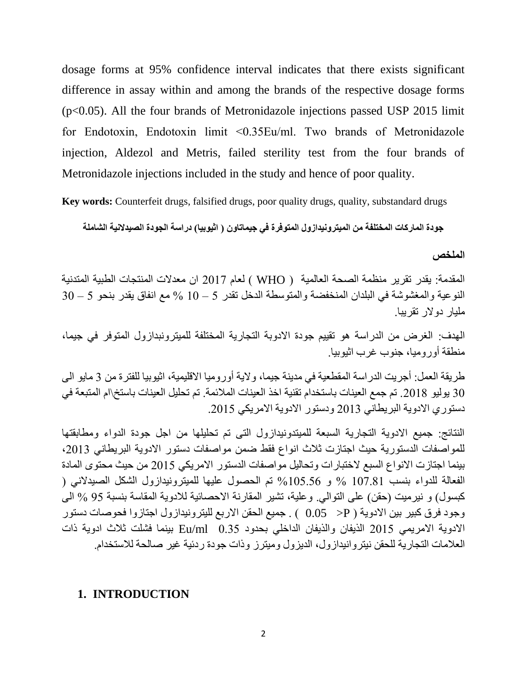dosage forms at 95% confidence interval indicates that there exists significant difference in assay within and among the brands of the respective dosage forms (p<0.05). All the four brands of Metronidazole injections passed USP 2015 limit for Endotoxin, Endotoxin limit ˂0.35Eu/ml. Two brands of Metronidazole injection, Aldezol and Metris, failed sterility test from the four brands of Metronidazole injections included in the study and hence of poor quality.

**Key words:** Counterfeit drugs, falsified drugs, poor quality drugs, quality, substandard drugs

**جودة الماركات المختلفة من الميترونيدازول المتوفرة في جيماتاون ) اثيوبيا( دراسة الجودة الصيدالنية الشاملة**

**الملخص**

المقدمة: يقدر تقرير منظمة الصحة العالمية ) WHO ) لعام 2017 ان معدالت المنتجات الطبية المتدنية النوعية والمغشوشة في البلدان المنخفضة والمتوسطة الدخل تقدر 5 – 10 % مع انفاق يقدر بنحو 5 – 30 مليار دوالر تقريبا.

الهدف:الغرض من الدراسة هو تقييم جودة االدوبة التجارية المختلفة للميترونبدازول المتوفر في جيما، منطقة أوروميا، جنوب غرب اثيوبيا.

طريقة العمل: أجريت الدراسة المقطعية في مدينة جيما، والية أوروميا االقليمية، اثيوبيا للفترة من 3 مايو الى 30 يوليو .2018 تم جمع العينات باستخدام تقنية اخذ العينات المالئمة. تم تحليل العينات باستخ \ام المتبعة في دستوري االدوية البريطاني 2013 ودستور االدوية االمريكي .2015

النتائج: جميع االدوية التجارية السبعة للميتدونيدازول التى تم تحليلها من اجل جودة الدواء ومطابقتها للمواصفات الدستورية حيث اجتازت ثلاث انواع فقط ضمن مواصفات دستور الادوية البريطاني 2013، بينما اجتازت االنواع السبع الختبارات وتحاليل مواصفات الدستور االمريكي 2015 من حيث محتوى المادة الفعالة للدواء بنسب 107.81 % و %105.56 تم الحصول عليها للميترونيدازول الشكل الصيدالني ) كبسول) و نيرميت (حقن) على التوالي. وعلية، تشير المقارنة الاحصائية للادوية المقاسة بنسبة 95 % الى وجود فرق كبير بين الادوية ( P × 0.05 ) . جميع الحقن الاربع لليترونيدازول اجتازوا فحوصات دستور االدوية االمريمي 2015 الذيفان والذيفان الداخلي بحدود 0.35 ml/Eu بينما فشلت ثالث ادوية ذات العالمات التجارية للحقن نيتروانيدازول، الديزول وميترز وذات جودة ردئية غير صالحة لالستخدام.

### **1. INTRODUCTION**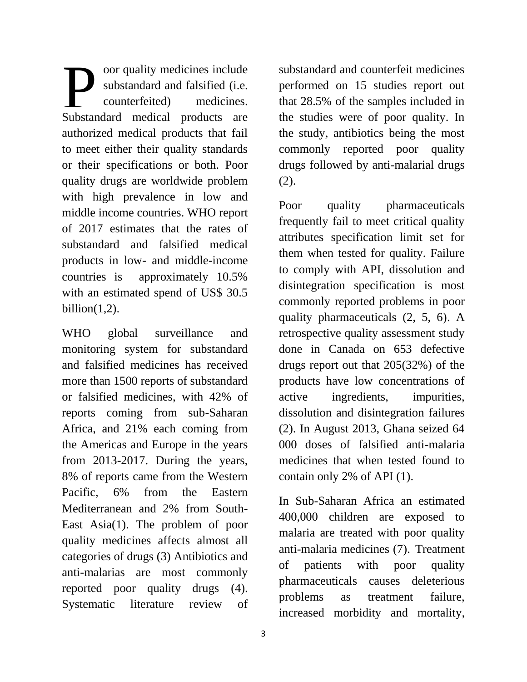oor quality medicines include substandard and falsified (i.e. counterfeited) medicines. oor quality medicines include<br>substandard and falsified (i.e.<br>Substandard medical products are authorized medical products that fail to meet either their quality standards or their specifications or both. Poor quality drugs are worldwide problem with high prevalence in low and middle income countries. WHO report of 2017 estimates that the rates of substandard and falsified medical products in low- and middle-income countries is approximately 10.5% with an estimated spend of US\$ 30.5 billion $(1,2)$ .

WHO global surveillance and monitoring system for substandard and falsified medicines has received more than 1500 reports of substandard or falsified medicines, with 42% of reports coming from sub-Saharan Africa, and 21% each coming from the Americas and Europe in the years from 2013-2017. During the years, 8% of reports came from the Western Pacific, 6% from the Eastern Mediterranean and 2% from South-East Asia(1). The problem of poor quality medicines affects almost all categories of drugs (3) Antibiotics and anti-malarias are most commonly reported poor quality drugs (4). Systematic literature review of

In Sub-Saharan Africa an estimated

400,000 children are exposed to malaria are treated with poor quality anti-malaria medicines (7). Treatment of patients with poor quality pharmaceuticals causes deleterious problems as treatment failure, increased morbidity and mortality,

substandard and counterfeit medicines performed on 15 studies report out that 28.5% of the samples included in the studies were of poor quality. In the study, antibiotics being the most commonly reported poor quality drugs followed by anti-malarial drugs (2).

Poor quality pharmaceuticals frequently fail to meet critical quality attributes specification limit set for them when tested for quality. Failure to comply with API, dissolution and disintegration specification is most commonly reported problems in poor quality pharmaceuticals (2, 5, 6). A retrospective quality assessment study done in Canada on 653 defective drugs report out that 205(32%) of the products have low concentrations of active ingredients, impurities, dissolution and disintegration failures (2). In August 2013, Ghana seized 64 000 doses of falsified anti-malaria medicines that when tested found to contain only 2% of API (1).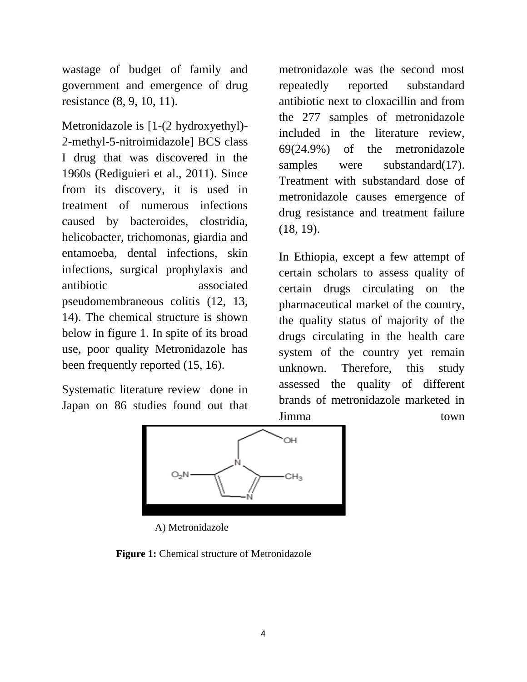wastage of budget of family and government and emergence of drug resistance (8, 9, 10, 11).

Metronidazole is [1-(2 hydroxyethyl)- 2-methyl-5-nitroimidazole] BCS class I drug that was discovered in the 1960s (Rediguieri et al., 2011). Since from its discovery, it is used in treatment of numerous infections caused by bacteroides, clostridia, helicobacter, trichomonas, giardia and entamoeba, dental infections, skin infections, surgical prophylaxis and antibiotic associated pseudomembraneous colitis (12, 13, 14). The chemical structure is shown below in figure 1. In spite of its broad use, poor quality Metronidazole has been frequently reported (15, 16).

Systematic literature review done in Japan on 86 studies found out that metronidazole was the second most repeatedly reported substandard antibiotic next to cloxacillin and from the 277 samples of metronidazole included in the literature review, 69(24.9%) of the metronidazole samples were substandard(17). Treatment with substandard dose of metronidazole causes emergence of drug resistance and treatment failure (18, 19).

In Ethiopia, except a few attempt of certain scholars to assess quality of certain drugs circulating on the pharmaceutical market of the country, the quality status of majority of the drugs circulating in the health care system of the country yet remain unknown. Therefore, this study assessed the quality of different brands of metronidazole marketed in Jimma town



A) Metronidazole

 **Figure 1:** Chemical structure of Metronidazole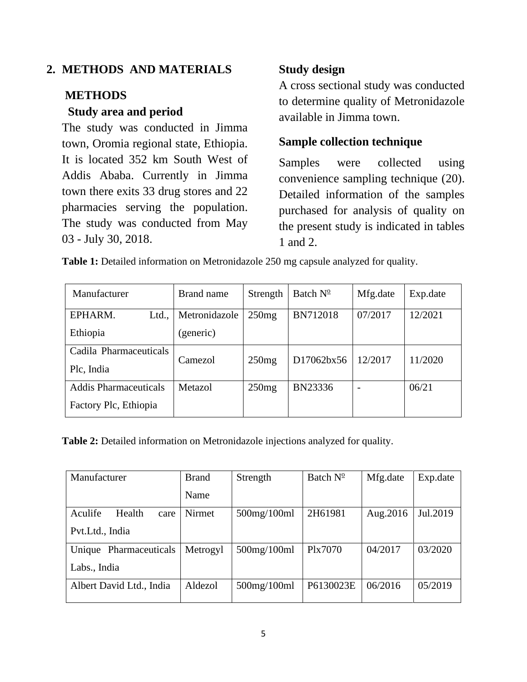### **2. METHODS AND MATERIALS**

### **METHODS**

### **Study area and period**

The study was conducted in Jimma town, Oromia regional state, Ethiopia. It is located 352 km South West of Addis Ababa. Currently in Jimma town there exits 33 drug stores and 22 pharmacies serving the population. The study was conducted from May 03 - July 30, 2018.

## **Study design**

A cross sectional study was conducted to determine quality of Metronidazole available in Jimma town.

## **Sample collection technique**

Samples were collected using convenience sampling technique (20). Detailed information of the samples purchased for analysis of quality on the present study is indicated in tables 1 and 2.

**Table 1:** Detailed information on Metronidazole 250 mg capsule analyzed for quality.

| Manufacturer                 | Brand name    | Strength | Batch $N^{\circ}$ | Mfg.date | Exp.date |  |
|------------------------------|---------------|----------|-------------------|----------|----------|--|
| EPHARM.<br>Ltd.,             | Metronidazole | 250mg    | <b>BN712018</b>   | 07/2017  | 12/2021  |  |
| Ethiopia                     | (generic)     |          |                   |          |          |  |
| Cadila Pharmaceuticals       | Camezol       | 250mg    | D17062bx56        | 12/2017  | 11/2020  |  |
| Plc, India                   |               |          |                   |          |          |  |
| <b>Addis Pharmaceuticals</b> | Metazol       | 250mg    | BN23336           |          | 06/21    |  |
| Factory Plc, Ethiopia        |               |          |                   |          |          |  |

**Table 2:** Detailed information on Metronidazole injections analyzed for quality.

| Manufacturer              | <b>Brand</b> | Strength           | Batch $N^{\circ}$ | Mfg.date  | Exp.date |
|---------------------------|--------------|--------------------|-------------------|-----------|----------|
|                           | Name         |                    |                   |           |          |
| Aculife<br>Health<br>care | Nirmet       | $500$ mg/ $100$ ml | 2H61981           | Aug. 2016 | Jul.2019 |
| Pvt.Ltd., India           |              |                    |                   |           |          |
| Unique Pharmaceuticals    | Metrogyl     | $500$ mg/ $100$ ml | Plx7070           | 04/2017   | 03/2020  |
| Labs., India              |              |                    |                   |           |          |
| Albert David Ltd., India  | Aldezol      | $500$ mg/ $100$ ml | P6130023E         | 06/2016   | 05/2019  |
|                           |              |                    |                   |           |          |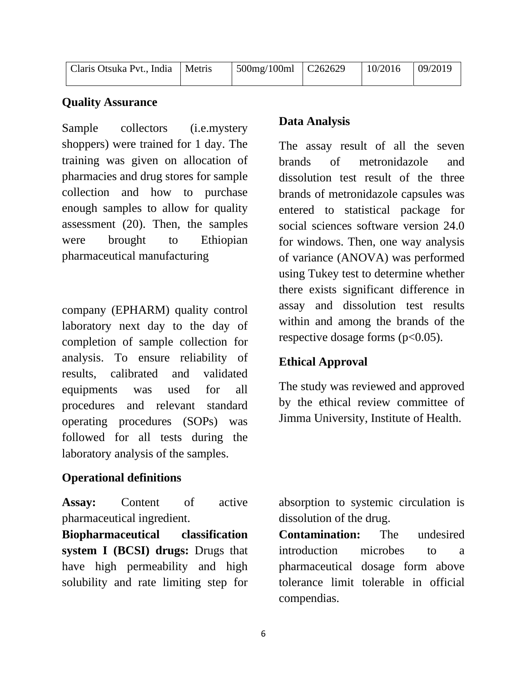| Claris Otsuka Pvt., India   Metris | $\vert$ 500mg/100ml $\vert$ C262629 | $10/2016$ 09/2019 |  |
|------------------------------------|-------------------------------------|-------------------|--|
|                                    |                                     |                   |  |

### **Quality Assurance**

Sample collectors (i.e.mystery shoppers) were trained for 1 day. The training was given on allocation of pharmacies and drug stores for sample collection and how to purchase enough samples to allow for quality assessment (20). Then, the samples were brought to Ethiopian pharmaceutical manufacturing

company (EPHARM) quality control laboratory next day to the day of completion of sample collection for analysis. To ensure reliability of results, calibrated and validated equipments was used for all procedures and relevant standard operating procedures (SOPs) was followed for all tests during the laboratory analysis of the samples.

### **Operational definitions**

**Assay:** Content of active pharmaceutical ingredient.

**Biopharmaceutical classification system I (BCSI) drugs:** Drugs that have high permeability and high solubility and rate limiting step for

## **Data Analysis**

The assay result of all the seven brands of metronidazole and dissolution test result of the three brands of metronidazole capsules was entered to statistical package for social sciences software version 24.0 for windows. Then, one way analysis of variance (ANOVA) was performed using Tukey test to determine whether there exists significant difference in assay and dissolution test results within and among the brands of the respective dosage forms  $(p<0.05)$ .

### **Ethical Approval**

The study was reviewed and approved by the ethical review committee of Jimma University, Institute of Health.

absorption to systemic circulation is dissolution of the drug.

**Contamination:** The undesired introduction microbes to a pharmaceutical dosage form above tolerance limit tolerable in official compendias.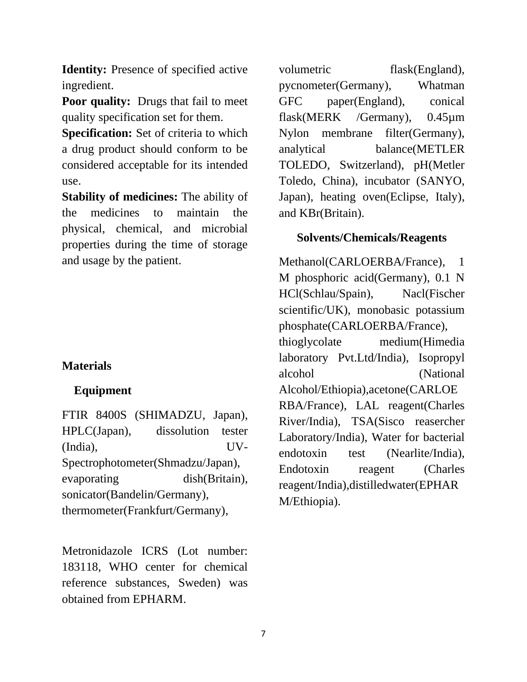**Identity:** Presence of specified active ingredient.

**Poor quality:** Drugs that fail to meet quality specification set for them.

**Specification:** Set of criteria to which a drug product should conform to be considered acceptable for its intended use.

**Stability of medicines:** The ability of the medicines to maintain the physical, chemical, and microbial properties during the time of storage and usage by the patient.

### **Materials**

### **Equipment**

FTIR 8400S (SHIMADZU, Japan), HPLC(Japan), dissolution tester (India), UV-Spectrophotometer(Shmadzu/Japan), evaporating dish(Britain), sonicator(Bandelin/Germany), thermometer(Frankfurt/Germany),

Metronidazole ICRS (Lot number: 183118, WHO center for chemical reference substances, Sweden) was obtained from EPHARM.

volumetric flask(England), pycnometer(Germany), Whatman GFC paper(England), conical flask(MERK /Germany), 0.45µm Nylon membrane filter(Germany), analytical balance(METLER TOLEDO, Switzerland), pH(Metler Toledo, China), incubator (SANYO, Japan), heating oven(Eclipse, Italy), and KBr(Britain).

### **Solvents/Chemicals/Reagents**

Methanol(CARLOERBA/France), 1 M phosphoric acid(Germany), 0.1 N HCl(Schlau/Spain), Nacl(Fischer scientific/UK), monobasic potassium phosphate(CARLOERBA/France), thioglycolate medium(Himedia laboratory Pvt.Ltd/India), Isopropyl alcohol (National Alcohol/Ethiopia),acetone(CARLOE RBA/France), LAL reagent(Charles River/India), TSA(Sisco reasercher Laboratory/India), Water for bacterial endotoxin test (Nearlite/India), Endotoxin reagent (Charles reagent/India),distilledwater(EPHAR M/Ethiopia).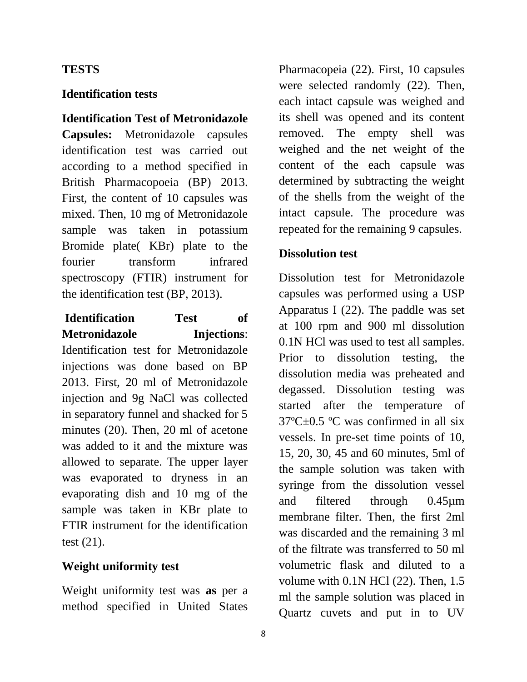### **TESTS**

### **Identification tests**

### **Identification Test of Metronidazole**

**Capsules:** Metronidazole capsules identification test was carried out according to a method specified in British Pharmacopoeia (BP) 2013. First, the content of 10 capsules was mixed. Then, 10 mg of Metronidazole sample was taken in potassium Bromide plate( KBr) plate to the fourier transform infrared spectroscopy (FTIR) instrument for the identification test (BP, 2013).

# **Identification Test of Metronidazole Injections**:

Identification test for Metronidazole injections was done based on BP 2013. First, 20 ml of Metronidazole injection and 9g NaCl was collected in separatory funnel and shacked for 5 minutes (20). Then, 20 ml of acetone was added to it and the mixture was allowed to separate. The upper layer was evaporated to dryness in an evaporating dish and 10 mg of the sample was taken in KBr plate to FTIR instrument for the identification test (21).

### **Weight uniformity test**

Weight uniformity test was **as** per a method specified in United States

Pharmacopeia (22). First, 10 capsules were selected randomly (22). Then, each intact capsule was weighed and its shell was opened and its content removed. The empty shell was weighed and the net weight of the content of the each capsule was determined by subtracting the weight of the shells from the weight of the intact capsule. The procedure was repeated for the remaining 9 capsules.

### **Dissolution test**

Dissolution test for Metronidazole capsules was performed using a USP Apparatus I (22). The paddle was set at 100 rpm and 900 ml dissolution 0.1N HCl was used to test all samples. Prior to dissolution testing, the dissolution media was preheated and degassed. Dissolution testing was started after the temperature of 37ºC±0.5 ºC was confirmed in all six vessels. In pre-set time points of 10, 15, 20, 30, 45 and 60 minutes, 5ml of the sample solution was taken with syringe from the dissolution vessel and filtered through 0.45µm membrane filter. Then, the first 2ml was discarded and the remaining 3 ml of the filtrate was transferred to 50 ml volumetric flask and diluted to a volume with  $0.1N$  HCl  $(22)$ . Then,  $1.5$ ml the sample solution was placed in Quartz cuvets and put in to UV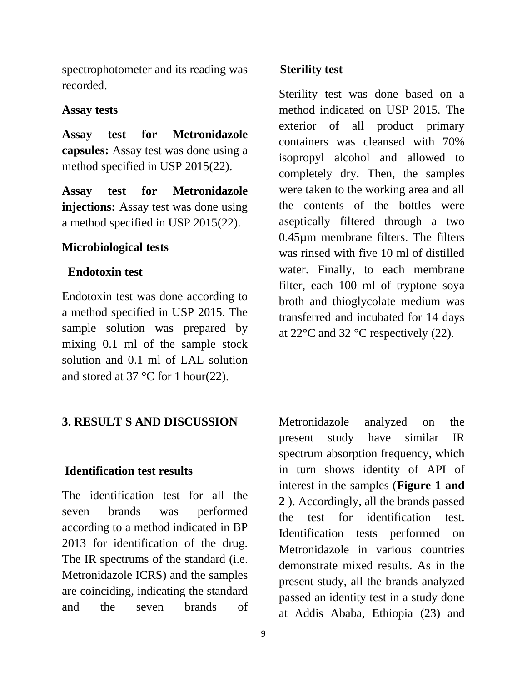spectrophotometer and its reading was recorded.

#### **Assay tests**

**Assay test for Metronidazole capsules:** Assay test was done using a method specified in USP 2015(22).

**Assay test for Metronidazole injections:** Assay test was done using a method specified in USP 2015(22).

### **Microbiological tests**

### **Endotoxin test**

Endotoxin test was done according to a method specified in USP 2015. The sample solution was prepared by mixing 0.1 ml of the sample stock solution and 0.1 ml of LAL solution and stored at 37 °C for 1 hour(22).

### **3. RESULT S AND DISCUSSION**

#### **Identification test results**

The identification test for all the seven brands was performed according to a method indicated in BP 2013 for identification of the drug. The IR spectrums of the standard (i.e. Metronidazole ICRS) and the samples are coinciding, indicating the standard and the seven brands of

#### **Sterility test**

Sterility test was done based on a method indicated on USP 2015. The exterior of all product primary containers was cleansed with 70% isopropyl alcohol and allowed to completely dry. Then, the samples were taken to the working area and all the contents of the bottles were aseptically filtered through a two 0.45µm membrane filters. The filters was rinsed with five 10 ml of distilled water. Finally, to each membrane filter, each 100 ml of tryptone soya broth and thioglycolate medium was transferred and incubated for 14 days at  $22^{\circ}$ C and  $32^{\circ}$ C respectively (22).

Metronidazole analyzed on the present study have similar IR spectrum absorption frequency, which in turn shows identity of API of interest in the samples (**Figure 1 and 2** ). Accordingly, all the brands passed the test for identification test. Identification tests performed on Metronidazole in various countries demonstrate mixed results. As in the present study, all the brands analyzed passed an identity test in a study done at Addis Ababa, Ethiopia (23) and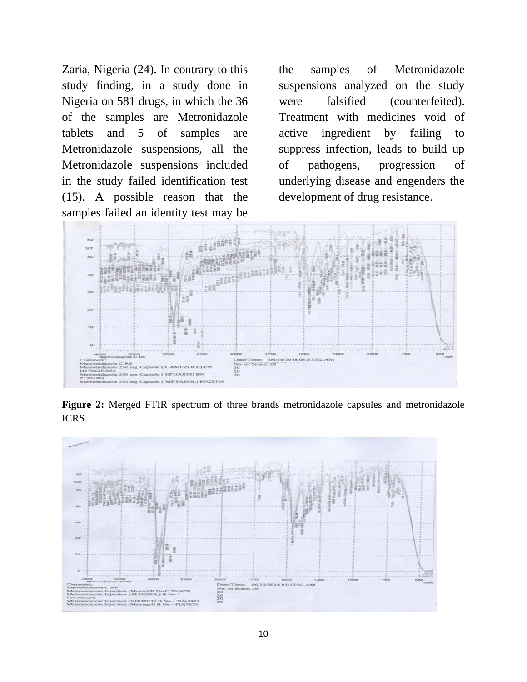Zaria, Nigeria (24). In contrary to this study finding, in a study done in Nigeria on 581 drugs, in which the 36 of the samples are Metronidazole tablets and 5 of samples are Metronidazole suspensions, all the Metronidazole suspensions included in the study failed identification test (15). A possible reason that the samples failed an identity test may be

the samples of Metronidazole suspensions analyzed on the study were falsified (counterfeited). Treatment with medicines void of active ingredient by failing to suppress infection, leads to build up of pathogens, progression of underlying disease and engenders the development of drug resistance.



**Figure 2:** Merged FTIR spectrum of three brands metronidazole capsules and metronidazole ICRS.

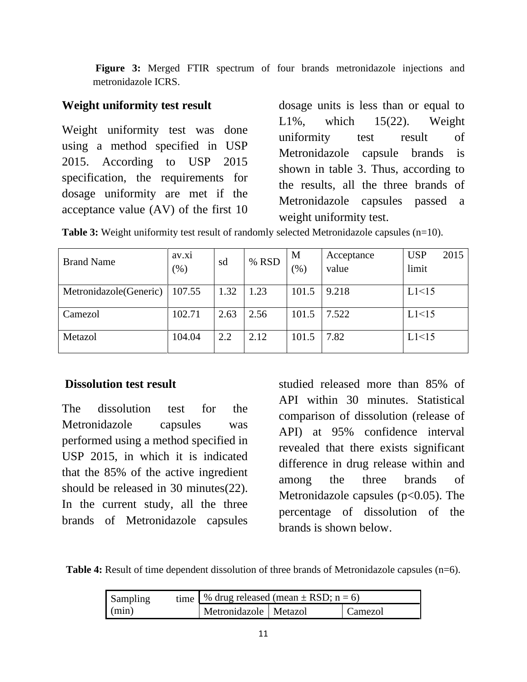**Figure 3:** Merged FTIR spectrum of four brands metronidazole injections and metronidazole ICRS.

### **Weight uniformity test result**

Weight uniformity test was done using a method specified in USP 2015. According to USP 2015 specification, the requirements for dosage uniformity are met if the acceptance value (AV) of the first 10 dosage units is less than or equal to  $L1\%$ , which  $15(22)$ . Weight uniformity test result of Metronidazole capsule brands is shown in table 3. Thus, according to the results, all the three brands of Metronidazole capsules passed a weight uniformity test.

|  |  |  |  |  | <b>Table 3:</b> Weight uniformity test result of randomly selected Metronidazole capsules $(n=10)$ . |
|--|--|--|--|--|------------------------------------------------------------------------------------------------------|
|--|--|--|--|--|------------------------------------------------------------------------------------------------------|

| <b>Brand Name</b>       | av.x1<br>$(\%)$ | sd   | % RSD | M<br>(%) | Acceptance<br>value | <b>USP</b><br>limit | 2015 |
|-------------------------|-----------------|------|-------|----------|---------------------|---------------------|------|
| Metronidazole (Generic) | 107.55          | 1.32 | 1.23  | 101.5    | 9.218               | L1<15               |      |
| Camezol                 | 102.71          | 2.63 | 2.56  | 101.5    | 7.522               | L1<15               |      |
| Metazol                 | 104.04          | 2.2  | 2.12  | 101.5    | 7.82                | L1<15               |      |

### **Dissolution test result**

The dissolution test for the Metronidazole capsules was performed using a method specified in USP 2015, in which it is indicated that the 85% of the active ingredient should be released in 30 minutes(22). In the current study, all the three brands of Metronidazole capsules

studied released more than 85% of API within 30 minutes. Statistical comparison of dissolution (release of API) at 95% confidence interval revealed that there exists significant difference in drug release within and among the three brands of Metronidazole capsules  $(p<0.05)$ . The percentage of dissolution of the brands is shown below.

**Table 4:** Result of time dependent dissolution of three brands of Metronidazole capsules (n=6).

| Sampling | time   % drug released (mean $\pm$ RSD; n = 6) |                                    |  |  |  |  |
|----------|------------------------------------------------|------------------------------------|--|--|--|--|
| (min)    |                                                | Metronidazole   Metazol<br>Camezol |  |  |  |  |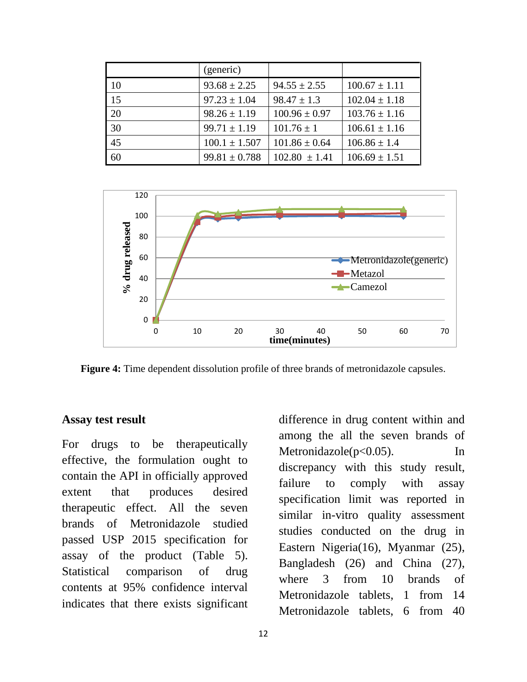|    | (generic)         |                   |                   |
|----|-------------------|-------------------|-------------------|
| 10 | $93.68 \pm 2.25$  | $94.55 \pm 2.55$  | $100.67 \pm 1.11$ |
| 15 | $97.23 \pm 1.04$  | $98.47 \pm 1.3$   | $102.04 \pm 1.18$ |
| 20 | $98.26 \pm 1.19$  | $100.96 \pm 0.97$ | $103.76 \pm 1.16$ |
| 30 | $99.71 \pm 1.19$  | $101.76 \pm 1$    | $106.61 \pm 1.16$ |
| 45 | $100.1 \pm 1.507$ | $101.86 \pm 0.64$ | $106.86 \pm 1.4$  |
| 60 | $99.81 \pm 0.788$ | $102.80 \pm 1.41$ | $106.69 \pm 1.51$ |



**Figure 4:** Time dependent dissolution profile of three brands of metronidazole capsules.

#### **Assay test result**

For drugs to be therapeutically effective, the formulation ought to contain the API in officially approved extent that produces desired therapeutic effect. All the seven brands of Metronidazole studied passed USP 2015 specification for assay of the product (Table 5). Statistical comparison of drug contents at 95% confidence interval indicates that there exists significant

difference in drug content within and among the all the seven brands of Metronidazole(p<0.05). In discrepancy with this study result, failure to comply with assay specification limit was reported in similar in-vitro quality assessment studies conducted on the drug in Eastern Nigeria(16), Myanmar (25), Bangladesh (26) and China (27), where 3 from 10 brands of Metronidazole tablets, 1 from 14 Metronidazole tablets, 6 from 40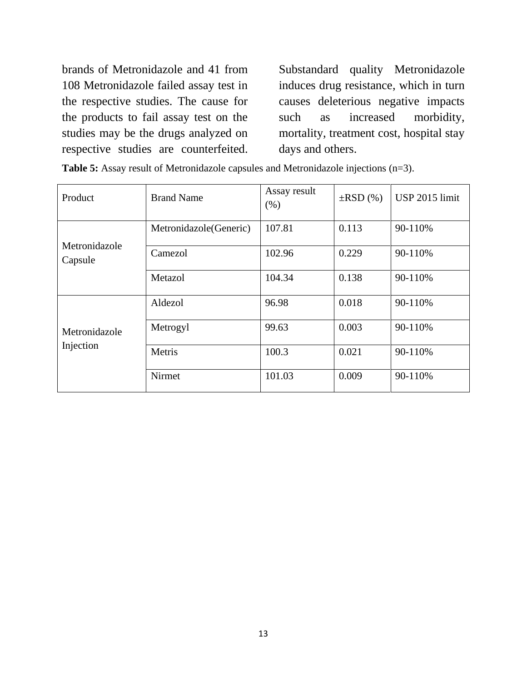brands of Metronidazole and 41 from 108 Metronidazole failed assay test in the respective studies. The cause for the products to fail assay test on the studies may be the drugs analyzed on respective studies are counterfeited.

Substandard quality Metronidazole induces drug resistance, which in turn causes deleterious negative impacts such as increased morbidity, mortality, treatment cost, hospital stay days and others.

| Product                  | <b>Brand Name</b>       | Assay result<br>(% ) | $\pm RSD(%)$ | USP 2015 limit |
|--------------------------|-------------------------|----------------------|--------------|----------------|
|                          | Metronidazole (Generic) | 107.81               | 0.113        | 90-110%        |
| Metronidazole<br>Capsule | Camezol                 | 102.96               | 0.229        | 90-110%        |
|                          | Metazol                 | 104.34               | 0.138        | 90-110%        |
|                          | Aldezol                 | 96.98                | 0.018        | 90-110%        |
| Metronidazole            | Metrogyl                | 99.63                | 0.003        | 90-110%        |
| Injection                | Metris                  | 100.3                | 0.021        | 90-110%        |
|                          | Nirmet                  | 101.03               | 0.009        | 90-110%        |

**Table 5:** Assay result of Metronidazole capsules and Metronidazole injections (n=3).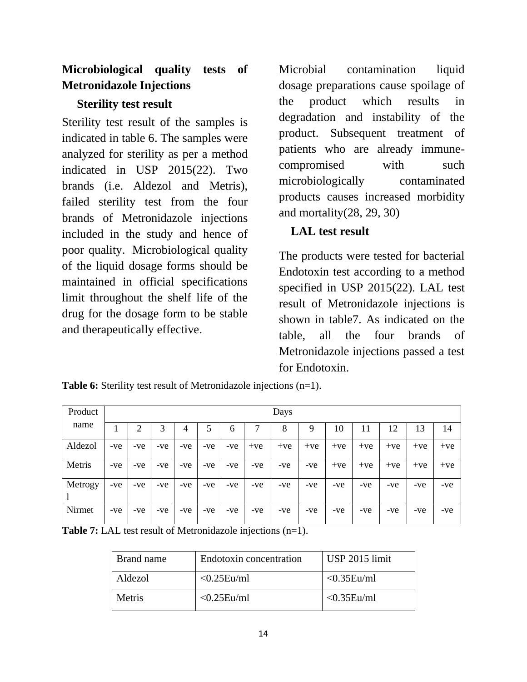# **Microbiological quality tests of Metronidazole Injections**

## **Sterility test result**

Sterility test result of the samples is indicated in table 6. The samples were analyzed for sterility as per a method indicated in USP 2015(22). Two brands (i.e. Aldezol and Metris), failed sterility test from the four brands of Metronidazole injections included in the study and hence of poor quality. Microbiological quality of the liquid dosage forms should be maintained in official specifications limit throughout the shelf life of the drug for the dosage form to be stable and therapeutically effective.

Microbial contamination liquid dosage preparations cause spoilage of the product which results in degradation and instability of the product. Subsequent treatment of patients who are already immunecompromised with such microbiologically contaminated products causes increased morbidity and mortality(28, 29, 30)

# **LAL test result**

The products were tested for bacterial Endotoxin test according to a method specified in USP 2015(22). LAL test result of Metronidazole injections is shown in table7. As indicated on the table, all the four brands of Metronidazole injections passed a test for Endotoxin.

| Product |       |       |     |       |       |       |       | Days  |       |       |       |       |       |       |
|---------|-------|-------|-----|-------|-------|-------|-------|-------|-------|-------|-------|-------|-------|-------|
| name    |       | 2     | 3   | 4     | 5     | 6     |       | 8     | 9     | 10    | 11    | 12    | 13    | 14    |
| Aldezol | $-ve$ | -ve   | -ve | -ve   | $-ve$ | $-ve$ | $+ve$ | $+ve$ | $+ve$ | $+ve$ | $+ve$ | $+ve$ | $+ve$ | $+ve$ |
| Metris  | $-ve$ | -ve   | -ve | $-ve$ | $-ve$ | $-ve$ | $-ve$ | -ve   | -ve   | $+ve$ | $+ve$ | $+ve$ | $+ve$ | $+ve$ |
| Metrogy | -ve   | $-ve$ | -ve | -ve   | $-ve$ | $-ve$ | $-ve$ | -ve   | -ve   | -ve   | -ve   | -ve   | -ve   | $-ve$ |
| Nirmet  | $-ve$ | $-ve$ | -ve | -ve   | $-ve$ | $-ve$ | $-ve$ | -ve   | $-ve$ | -ve   | -ve   | -ve   | -ve   | $-ve$ |

**Table 6:** Sterility test result of Metronidazole injections (n=1).

**Table 7:** LAL test result of Metronidazole injections (n=1).

| Brand name | Endotoxin concentration | USP 2015 limit    |
|------------|-------------------------|-------------------|
| Aldezol    | $\leq 0.25$ Eu/ml       | $\leq 0.35$ Eu/ml |
| Metris     | $\leq 0.25$ Eu/ml       | $< 0.35$ Eu/ml    |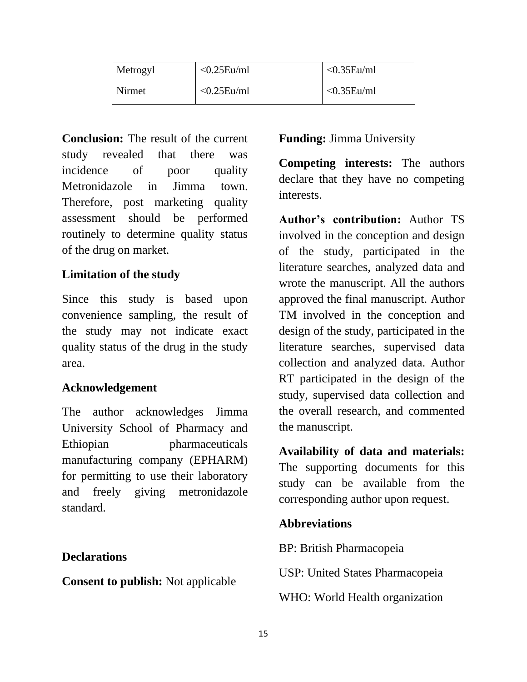| Metrogyl | $< 0.25$ Eu/ml | $< 0.35$ Eu/ml |
|----------|----------------|----------------|
| Nirmet   | $< 0.25$ Eu/ml | $< 0.35$ Eu/ml |

**Conclusion:** The result of the current study revealed that there was incidence of poor quality Metronidazole in Jimma town. Therefore, post marketing quality assessment should be performed routinely to determine quality status of the drug on market.

### **Limitation of the study**

Since this study is based upon convenience sampling, the result of the study may not indicate exact quality status of the drug in the study area.

# **Acknowledgement**

The author acknowledges Jimma University School of Pharmacy and Ethiopian pharmaceuticals manufacturing company (EPHARM) for permitting to use their laboratory and freely giving metronidazole standard.

### **Declarations**

**Consent to publish:** Not applicable

# **Funding:** Jimma University

**Competing interests:** The authors declare that they have no competing interests.

**Author's contribution:** Author TS involved in the conception and design of the study, participated in the literature searches, analyzed data and wrote the manuscript. All the authors approved the final manuscript. Author TM involved in the conception and design of the study, participated in the literature searches, supervised data collection and analyzed data. Author RT participated in the design of the study, supervised data collection and the overall research, and commented the manuscript.

**Availability of data and materials:** The supporting documents for this study can be available from the corresponding author upon request.

### **Abbreviations**

BP: British Pharmacopeia

USP: United States Pharmacopeia

WHO: World Health organization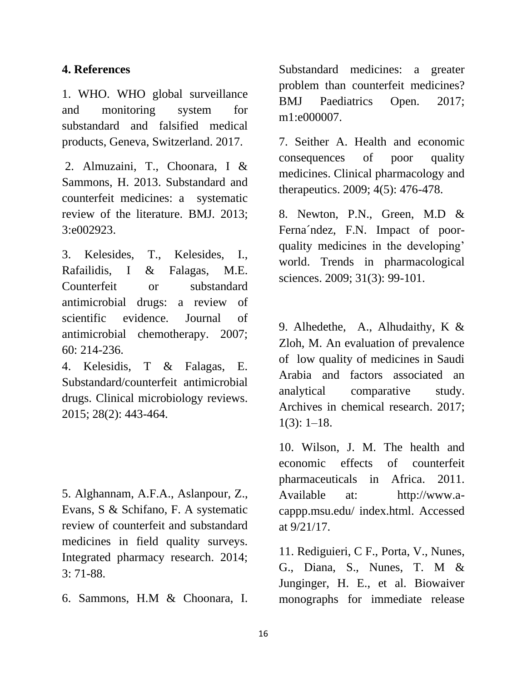### **4. References**

1. WHO. WHO global surveillance and monitoring system for substandard and falsified medical products, Geneva, Switzerland. 2017.

2. Almuzaini, T., Choonara, I & Sammons, H. 2013. Substandard and counterfeit medicines: a systematic review of the literature. BMJ. 2013; 3:e002923.

3. Kelesides, T., Kelesides, I., Rafailidis, I & Falagas, M.E. Counterfeit or substandard antimicrobial drugs: a review of scientific evidence. Journal of antimicrobial chemotherapy. 2007; 60: 214-236.

4. Kelesidis, T & Falagas, E. Substandard/counterfeit antimicrobial drugs. Clinical microbiology reviews. 2015; 28(2): 443-464.

5. Alghannam, A.F.A., Aslanpour, Z., Evans, S & Schifano, F. A systematic review of counterfeit and substandard medicines in field quality surveys. Integrated pharmacy research. 2014; 3: 71-88.

6. Sammons, H.M & Choonara, I.

Substandard medicines: a greater problem than counterfeit medicines? BMJ Paediatrics Open. 2017; m1:e000007.

7. Seither A. Health and economic consequences of poor quality medicines. Clinical pharmacology and therapeutics. 2009; 4(5): 476-478.

8. Newton, P.N., Green, M.D & Ferna´ndez, F.N. Impact of poorquality medicines in the developing' world. Trends in pharmacological sciences. 2009; 31(3): 99-101.

9. Alhedethe, A., Alhudaithy, K & Zloh, M. An evaluation of prevalence of low quality of medicines in Saudi Arabia and factors associated an analytical comparative study. Archives in chemical research. 2017;  $1(3): 1-18.$ 

10. Wilson, J. M. The health and economic effects of counterfeit pharmaceuticals in Africa. 2011. Available at: http://www.acappp.msu.edu/ index.html. Accessed at 9/21/17.

11. Rediguieri, C F., Porta, V., Nunes, G., Diana, S., Nunes, T. M & Junginger, H. E., et al. Biowaiver monographs for immediate release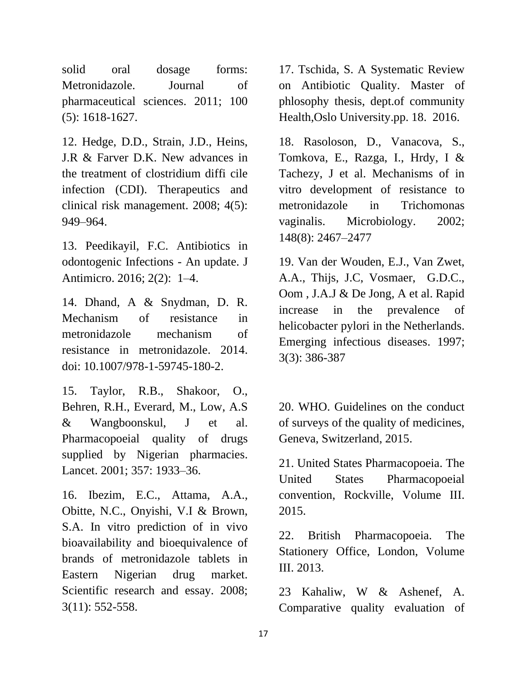solid oral dosage forms: Metronidazole. Journal of pharmaceutical sciences. 2011; 100 (5): 1618-1627.

12. Hedge, D.D., Strain, J.D., Heins, J.R & Farver D.K. New advances in the treatment of clostridium diffi cile infection (CDI). Therapeutics and clinical risk management. 2008; 4(5): 949–964.

13. Peedikayil, F.C. Antibiotics in odontogenic Infections - An update. J Antimicro. 2016; 2(2): 1–4.

14. Dhand, A & Snydman, D. R. Mechanism of resistance in metronidazole mechanism of resistance in metronidazole. 2014. doi: 10.1007/978-1-59745-180-2.

15. Taylor, R.B., Shakoor, O., Behren, R.H., Everard, M., Low, A.S & Wangboonskul, J et al. Pharmacopoeial quality of drugs supplied by Nigerian pharmacies. Lancet. 2001; 357: 1933–36.

16. Ibezim, E.C., Attama, A.A., Obitte, N.C., Onyishi, V.I & Brown, S.A. In vitro prediction of in vivo bioavailability and bioequivalence of brands of metronidazole tablets in Eastern Nigerian drug market. Scientific research and essay. 2008; 3(11): 552-558.

17. Tschida, S. A Systematic Review on Antibiotic Quality. Master of phlosophy thesis, dept.of community Health,Oslo University.pp. 18. 2016.

18. Rasoloson, D., Vanacova, S., Tomkova, E., Razga, I., Hrdy, I & Tachezy, J et al. Mechanisms of in vitro development of resistance to metronidazole in Trichomonas vaginalis. Microbiology. 2002; 148(8): 2467–2477

19. Van der Wouden, E.J., Van Zwet, A.A., Thijs, J.C, Vosmaer, G.D.C., Oom , J.A.J & De Jong, A et al. Rapid increase in the prevalence of helicobacter pylori in the Netherlands. Emerging infectious diseases. 1997; 3(3): 386-387

20. WHO. Guidelines on the conduct of surveys of the quality of medicines, Geneva, Switzerland, 2015.

21. United States Pharmacopoeia. The United States Pharmacopoeial convention, Rockville, Volume III. 2015.

22. British Pharmacopoeia. The Stationery Office, London, Volume III. 2013.

23 Kahaliw, W & Ashenef, A. Comparative quality evaluation of